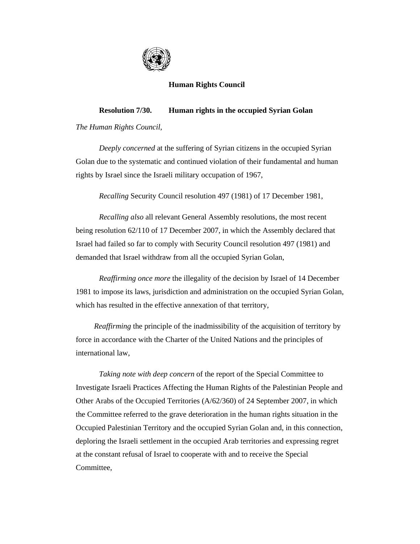

## **Human Rights Council**

## **Resolution 7/30. Human rights in the occupied Syrian Golan**

*The Human Rights Council*,

 *Deeply concerned* at the suffering of Syrian citizens in the occupied Syrian Golan due to the systematic and continued violation of their fundamental and human rights by Israel since the Israeli military occupation of 1967,

*Recalling* Security Council resolution 497 (1981) of 17 December 1981,

*Recalling also* all relevant General Assembly resolutions, the most recent being resolution 62/110 of 17 December 2007, in which the Assembly declared that Israel had failed so far to comply with Security Council resolution 497 (1981) and demanded that Israel withdraw from all the occupied Syrian Golan,

*Reaffirming once more* the illegality of the decision by Israel of 14 December 1981 to impose its laws, jurisdiction and administration on the occupied Syrian Golan, which has resulted in the effective annexation of that territory,

*Reaffirming* the principle of the inadmissibility of the acquisition of territory by force in accordance with the Charter of the United Nations and the principles of international law,

*Taking note with deep concern* of the report of the Special Committee to Investigate Israeli Practices Affecting the Human Rights of the Palestinian People and Other Arabs of the Occupied Territories (A/62/360) of 24 September 2007, in which the Committee referred to the grave deterioration in the human rights situation in the Occupied Palestinian Territory and the occupied Syrian Golan and, in this connection, deploring the Israeli settlement in the occupied Arab territories and expressing regret at the constant refusal of Israel to cooperate with and to receive the Special Committee,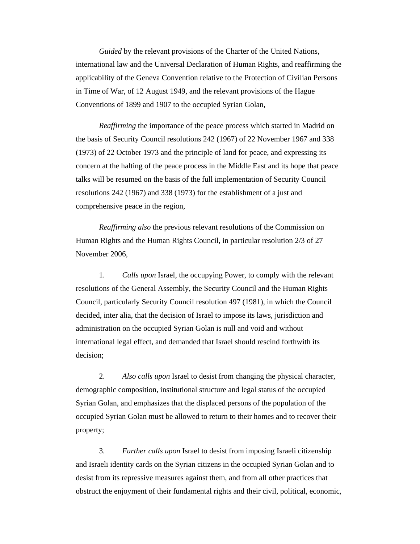*Guided* by the relevant provisions of the Charter of the United Nations, international law and the Universal Declaration of Human Rights, and reaffirming the applicability of the Geneva Convention relative to the Protection of Civilian Persons in Time of War, of 12 August 1949, and the relevant provisions of the Hague Conventions of 1899 and 1907 to the occupied Syrian Golan,

*Reaffirming* the importance of the peace process which started in Madrid on the basis of Security Council resolutions 242 (1967) of 22 November 1967 and 338 (1973) of 22 October 1973 and the principle of land for peace, and expressing its concern at the halting of the peace process in the Middle East and its hope that peace talks will be resumed on the basis of the full implementation of Security Council resolutions 242 (1967) and 338 (1973) for the establishment of a just and comprehensive peace in the region,

*Reaffirming also* the previous relevant resolutions of the Commission on Human Rights and the Human Rights Council, in particular resolution 2/3 of 27 November 2006,

 1. *Calls upon* Israel, the occupying Power, to comply with the relevant resolutions of the General Assembly, the Security Council and the Human Rights Council, particularly Security Council resolution 497 (1981), in which the Council decided, inter alia, that the decision of Israel to impose its laws, jurisdiction and administration on the occupied Syrian Golan is null and void and without international legal effect, and demanded that Israel should rescind forthwith its decision;

 2. *Also calls upon* Israel to desist from changing the physical character, demographic composition, institutional structure and legal status of the occupied Syrian Golan, and emphasizes that the displaced persons of the population of the occupied Syrian Golan must be allowed to return to their homes and to recover their property;

 3. *Further calls upon* Israel to desist from imposing Israeli citizenship and Israeli identity cards on the Syrian citizens in the occupied Syrian Golan and to desist from its repressive measures against them, and from all other practices that obstruct the enjoyment of their fundamental rights and their civil, political, economic,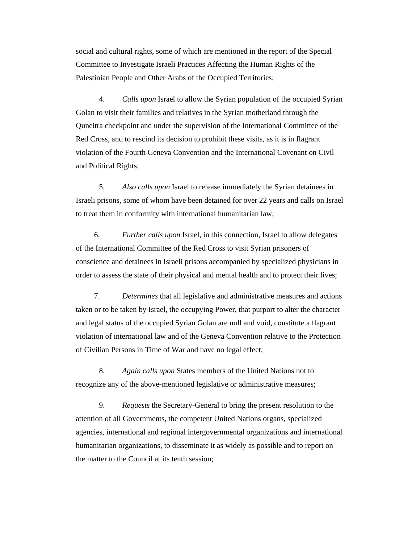social and cultural rights, some of which are mentioned in the report of the Special Committee to Investigate Israeli Practices Affecting the Human Rights of the Palestinian People and Other Arabs of the Occupied Territories;

 4. *Calls upon* Israel to allow the Syrian population of the occupied Syrian Golan to visit their families and relatives in the Syrian motherland through the Quneitra checkpoint and under the supervision of the International Committee of the Red Cross, and to rescind its decision to prohibit these visits, as it is in flagrant violation of the Fourth Geneva Convention and the International Covenant on Civil and Political Rights;

 5. *Also calls upon* Israel to release immediately the Syrian detainees in Israeli prisons, some of whom have been detained for over 22 years and calls on Israel to treat them in conformity with international humanitarian law;

6. *Further calls upon* Israel, in this connection, Israel to allow delegates of the International Committee of the Red Cross to visit Syrian prisoners of conscience and detainees in Israeli prisons accompanied by specialized physicians in order to assess the state of their physical and mental health and to protect their lives;

7. *Determines* that all legislative and administrative measures and actions taken or to be taken by Israel, the occupying Power, that purport to alter the character and legal status of the occupied Syrian Golan are null and void, constitute a flagrant violation of international law and of the Geneva Convention relative to the Protection of Civilian Persons in Time of War and have no legal effect;

 8. *Again calls upon* States members of the United Nations not to recognize any of the above-mentioned legislative or administrative measures;

 9. *Requests* the Secretary-General to bring the present resolution to the attention of all Governments, the competent United Nations organs, specialized agencies, international and regional intergovernmental organizations and international humanitarian organizations, to disseminate it as widely as possible and to report on the matter to the Council at its tenth session;